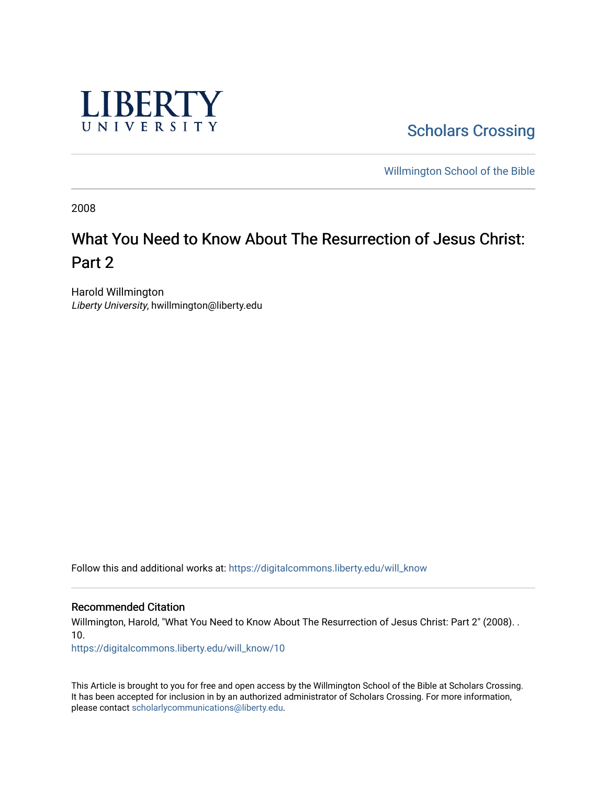

**Scholars Crossing** 

[Willmington School of the Bible](https://digitalcommons.liberty.edu/will_bible) 

2008

# What You Need to Know About The Resurrection of Jesus Christ: Part 2

Harold Willmington Liberty University, hwillmington@liberty.edu

Follow this and additional works at: [https://digitalcommons.liberty.edu/will\\_know](https://digitalcommons.liberty.edu/will_know?utm_source=digitalcommons.liberty.edu%2Fwill_know%2F10&utm_medium=PDF&utm_campaign=PDFCoverPages)

Recommended Citation

Willmington, Harold, "What You Need to Know About The Resurrection of Jesus Christ: Part 2" (2008). . 10.

[https://digitalcommons.liberty.edu/will\\_know/10](https://digitalcommons.liberty.edu/will_know/10?utm_source=digitalcommons.liberty.edu%2Fwill_know%2F10&utm_medium=PDF&utm_campaign=PDFCoverPages) 

This Article is brought to you for free and open access by the Willmington School of the Bible at Scholars Crossing. It has been accepted for inclusion in by an authorized administrator of Scholars Crossing. For more information, please contact [scholarlycommunications@liberty.edu.](mailto:scholarlycommunications@liberty.edu)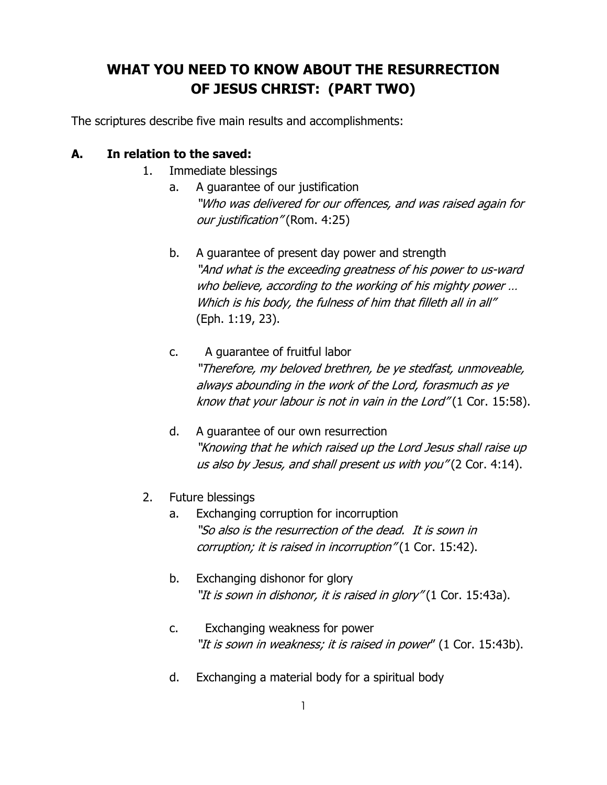## WHAT YOU NEED TO KNOW ABOUT THE RESURRECTION OF JESUS CHRIST: (PART TWO)

The scriptures describe five main results and accomplishments:

## A. In relation to the saved:

- 1. Immediate blessings
	- a. A guarantee of our justification "Who was delivered for our offences, and was raised again for our justification" (Rom. 4:25)
	- b. A guarantee of present day power and strength "And what is the exceeding greatness of his power to us-ward who believe, according to the working of his mighty power ... Which is his body, the fulness of him that filleth all in all" (Eph. 1:19, 23).
	- c. A guarantee of fruitful labor "Therefore, my beloved brethren, be ye stedfast, unmoveable, always abounding in the work of the Lord, forasmuch as ye know that your labour is not in vain in the Lord" (1 Cor. 15:58).
	- d. A guarantee of our own resurrection "Knowing that he which raised up the Lord Jesus shall raise up us also by Jesus, and shall present us with you" (2 Cor. 4:14).
- 2. Future blessings
	- a. Exchanging corruption for incorruption "So also is the resurrection of the dead. It is sown in corruption; it is raised in incorruption" (1 Cor. 15:42).
	- b. Exchanging dishonor for glory "It is sown in dishonor, it is raised in glory" (1 Cor. 15:43a).
	- c. Exchanging weakness for power "It is sown in weakness; it is raised in power" (1 Cor. 15:43b).
	- d. Exchanging a material body for a spiritual body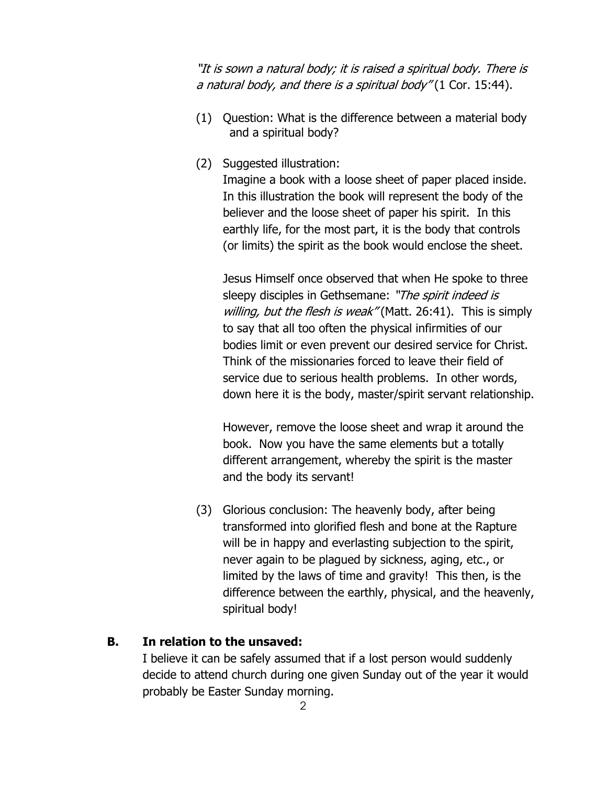"It is sown a natural body; it is raised a spiritual body. There is a natural body, and there is a spiritual body" (1 Cor. 15:44).

- (1) Question: What is the difference between a material body and a spiritual body?
- (2) Suggested illustration:

Imagine a book with a loose sheet of paper placed inside. In this illustration the book will represent the body of the believer and the loose sheet of paper his spirit. In this earthly life, for the most part, it is the body that controls (or limits) the spirit as the book would enclose the sheet.

Jesus Himself once observed that when He spoke to three sleepy disciples in Gethsemane: "The spirit indeed is willing, but the flesh is weak" (Matt. 26:41). This is simply to say that all too often the physical infirmities of our bodies limit or even prevent our desired service for Christ. Think of the missionaries forced to leave their field of service due to serious health problems. In other words, down here it is the body, master/spirit servant relationship.

However, remove the loose sheet and wrap it around the book. Now you have the same elements but a totally different arrangement, whereby the spirit is the master and the body its servant!

 (3) Glorious conclusion: The heavenly body, after being transformed into glorified flesh and bone at the Rapture will be in happy and everlasting subjection to the spirit, never again to be plagued by sickness, aging, etc., or limited by the laws of time and gravity! This then, is the difference between the earthly, physical, and the heavenly, spiritual body!

## B. In relation to the unsaved:

I believe it can be safely assumed that if a lost person would suddenly decide to attend church during one given Sunday out of the year it would probably be Easter Sunday morning.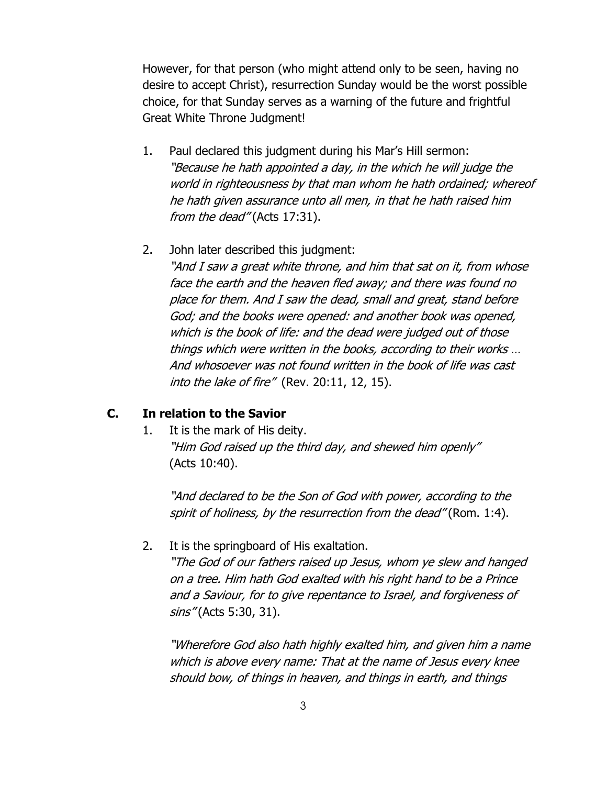However, for that person (who might attend only to be seen, having no desire to accept Christ), resurrection Sunday would be the worst possible choice, for that Sunday serves as a warning of the future and frightful Great White Throne Judgment!

- 1. Paul declared this judgment during his Mar's Hill sermon: "Because he hath appointed a day, in the which he will judge the world in righteousness by that man whom he hath ordained; whereof he hath given assurance unto all men, in that he hath raised him from the dead" (Acts 17:31).
- 2. John later described this judgment:

"And I saw a great white throne, and him that sat on it, from whose face the earth and the heaven fled away; and there was found no place for them. And I saw the dead, small and great, stand before God; and the books were opened: and another book was opened, which is the book of life: and the dead were judged out of those things which were written in the books, according to their works … And whosoever was not found written in the book of life was cast into the lake of fire" (Rev. 20:11, 12, 15).

#### C. In relation to the Savior

 1. It is the mark of His deity. "Him God raised up the third day, and shewed him openly" (Acts 10:40).

"And declared to be the Son of God with power, according to the spirit of holiness, by the resurrection from the dead" (Rom. 1:4).

2. It is the springboard of His exaltation.

"The God of our fathers raised up Jesus, whom ye slew and hanged on a tree. Him hath God exalted with his right hand to be a Prince and a Saviour, for to give repentance to Israel, and forgiveness of sins" (Acts 5:30, 31).

"Wherefore God also hath highly exalted him, and given him a name which is above every name: That at the name of Jesus every knee should bow, of things in heaven, and things in earth, and things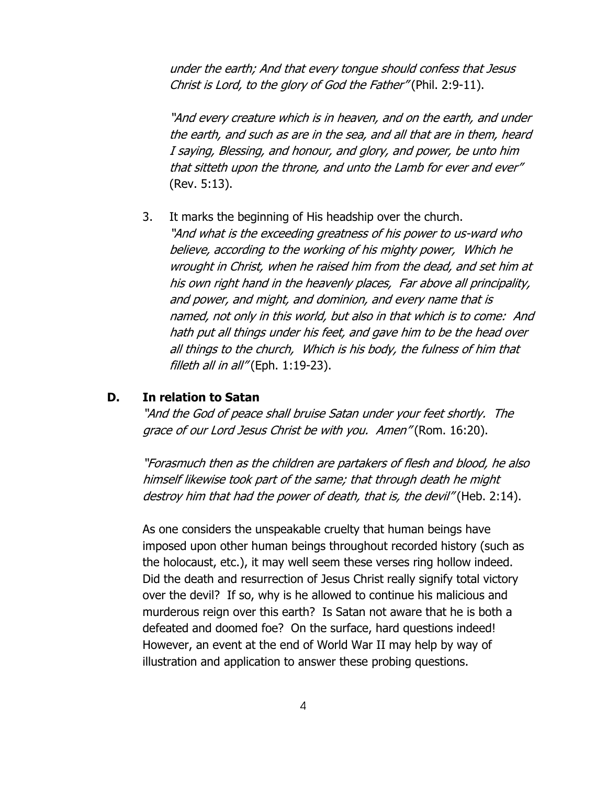under the earth; And that every tongue should confess that Jesus Christ is Lord, to the glory of God the Father" (Phil. 2:9-11).

"And every creature which is in heaven, and on the earth, and under the earth, and such as are in the sea, and all that are in them, heard I saying, Blessing, and honour, and glory, and power, be unto him that sitteth upon the throne, and unto the Lamb for ever and ever" (Rev. 5:13).

 3. It marks the beginning of His headship over the church. "And what is the exceeding greatness of his power to us-ward who believe, according to the working of his mighty power, Which he wrought in Christ, when he raised him from the dead, and set him at his own right hand in the heavenly places, Far above all principality, and power, and might, and dominion, and every name that is named, not only in this world, but also in that which is to come: And hath put all things under his feet, and gave him to be the head over all things to the church, Which is his body, the fulness of him that filleth all in all" (Eph.  $1:19-23$ ).

### D. In relation to Satan

"And the God of peace shall bruise Satan under your feet shortly. The grace of our Lord Jesus Christ be with you. Amen" (Rom. 16:20).

"Forasmuch then as the children are partakers of flesh and blood, he also himself likewise took part of the same; that through death he might destroy him that had the power of death, that is, the devil" (Heb. 2:14).

As one considers the unspeakable cruelty that human beings have imposed upon other human beings throughout recorded history (such as the holocaust, etc.), it may well seem these verses ring hollow indeed. Did the death and resurrection of Jesus Christ really signify total victory over the devil? If so, why is he allowed to continue his malicious and murderous reign over this earth? Is Satan not aware that he is both a defeated and doomed foe? On the surface, hard questions indeed! However, an event at the end of World War II may help by way of illustration and application to answer these probing questions.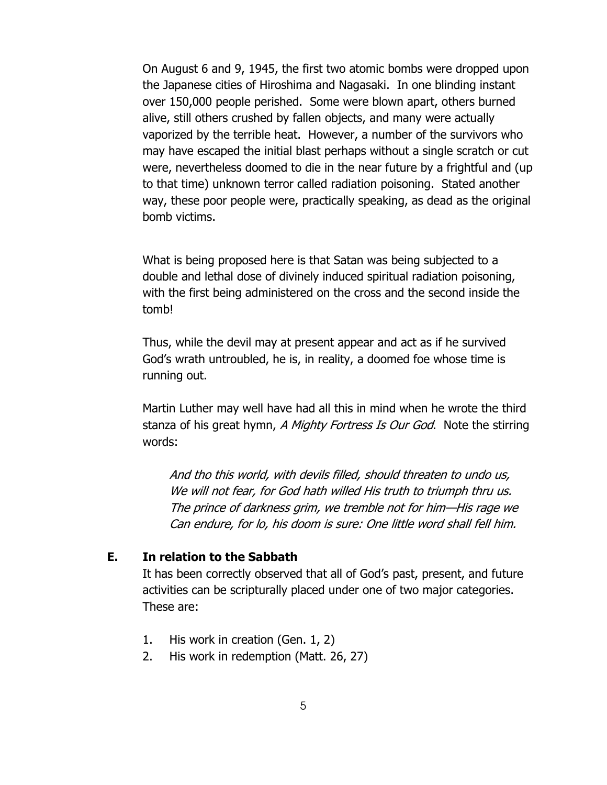On August 6 and 9, 1945, the first two atomic bombs were dropped upon the Japanese cities of Hiroshima and Nagasaki. In one blinding instant over 150,000 people perished. Some were blown apart, others burned alive, still others crushed by fallen objects, and many were actually vaporized by the terrible heat. However, a number of the survivors who may have escaped the initial blast perhaps without a single scratch or cut were, nevertheless doomed to die in the near future by a frightful and (up to that time) unknown terror called radiation poisoning. Stated another way, these poor people were, practically speaking, as dead as the original bomb victims.

What is being proposed here is that Satan was being subjected to a double and lethal dose of divinely induced spiritual radiation poisoning, with the first being administered on the cross and the second inside the tomb!

Thus, while the devil may at present appear and act as if he survived God's wrath untroubled, he is, in reality, a doomed foe whose time is running out.

Martin Luther may well have had all this in mind when he wrote the third stanza of his great hymn, A Mighty Fortress Is Our God. Note the stirring words:

 And tho this world, with devils filled, should threaten to undo us, We will not fear, for God hath willed His truth to triumph thru us. The prince of darkness grim, we tremble not for him—His rage we Can endure, for lo, his doom is sure: One little word shall fell him.

#### E. In relation to the Sabbath

It has been correctly observed that all of God's past, present, and future activities can be scripturally placed under one of two major categories. These are:

- 1. His work in creation (Gen. 1, 2)
- 2. His work in redemption (Matt. 26, 27)